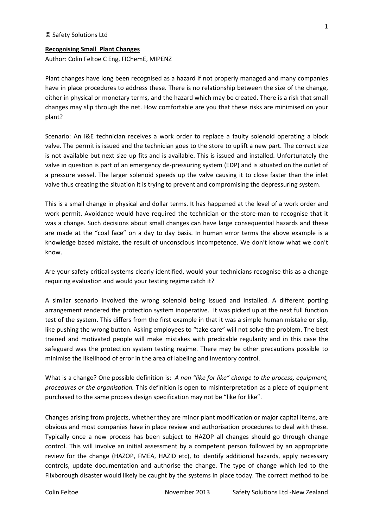#### **Recognising Small Plant Changes**

Author: Colin Feltoe C Eng, FIChemE, MIPENZ

Plant changes have long been recognised as a hazard if not properly managed and many companies have in place procedures to address these. There is no relationship between the size of the change, either in physical or monetary terms, and the hazard which may be created. There is a risk that small changes may slip through the net. How comfortable are you that these risks are minimised on your plant?

Scenario: An I&E technician receives a work order to replace a faulty solenoid operating a block valve. The permit is issued and the technician goes to the store to uplift a new part. The correct size is not available but next size up fits and is available. This is issued and installed. Unfortunately the valve in question is part of an emergency de-pressuring system (EDP) and is situated on the outlet of a pressure vessel. The larger solenoid speeds up the valve causing it to close faster than the inlet valve thus creating the situation it is trying to prevent and compromising the depressuring system.

This is a small change in physical and dollar terms. It has happened at the level of a work order and work permit. Avoidance would have required the technician or the store-man to recognise that it was a change. Such decisions about small changes can have large consequential hazards and these are made at the "coal face" on a day to day basis. In human error terms the above example is a knowledge based mistake, the result of unconscious incompetence. We don't know what we don't know.

Are your safety critical systems clearly identified, would your technicians recognise this as a change requiring evaluation and would your testing regime catch it?

A similar scenario involved the wrong solenoid being issued and installed. A different porting arrangement rendered the protection system inoperative. It was picked up at the next full function test of the system. This differs from the first example in that it was a simple human mistake or slip, like pushing the wrong button. Asking employees to "take care" will not solve the problem. The best trained and motivated people will make mistakes with predicable regularity and in this case the safeguard was the protection system testing regime. There may be other precautions possible to minimise the likelihood of error in the area of labeling and inventory control.

What is a change? One possible definition is: *A non "like for like" change to the process, equipment, procedures or the organisation.* This definition is open to misinterpretation as a piece of equipment purchased to the same process design specification may not be "like for like".

Changes arising from projects, whether they are minor plant modification or major capital items, are obvious and most companies have in place review and authorisation procedures to deal with these. Typically once a new process has been subject to HAZOP all changes should go through change control. This will involve an initial assessment by a competent person followed by an appropriate review for the change (HAZOP, FMEA, HAZID etc), to identify additional hazards, apply necessary controls, update documentation and authorise the change. The type of change which led to the Flixborough disaster would likely be caught by the systems in place today. The correct method to be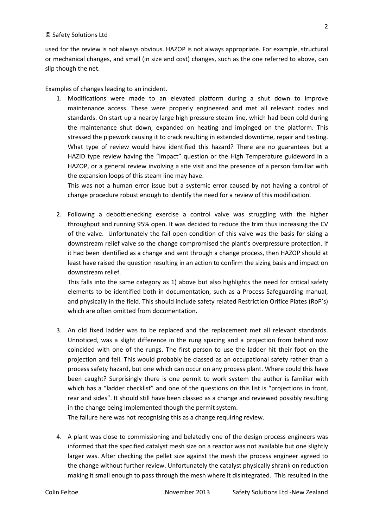used for the review is not always obvious. HAZOP is not always appropriate. For example, structural or mechanical changes, and small (in size and cost) changes, such as the one referred to above, can slip though the net.

Examples of changes leading to an incident.

1. Modifications were made to an elevated platform during a shut down to improve maintenance access. These were properly engineered and met all relevant codes and standards. On start up a nearby large high pressure steam line, which had been cold during the maintenance shut down, expanded on heating and impinged on the platform. This stressed the pipework causing it to crack resulting in extended downtime, repair and testing. What type of review would have identified this hazard? There are no guarantees but a HAZID type review having the "Impact" question or the High Temperature guideword in a HAZOP, or a general review involving a site visit and the presence of a person familiar with the expansion loops of this steam line may have.

This was not a human error issue but a systemic error caused by not having a control of change procedure robust enough to identify the need for a review of this modification.

2. Following a debottlenecking exercise a control valve was struggling with the higher throughput and running 95% open. It was decided to reduce the trim thus increasing the CV of the valve. Unfortunately the fail open condition of this valve was the basis for sizing a downstream relief valve so the change compromised the plant's overpressure protection. If it had been identified as a change and sent through a change process, then HAZOP should at least have raised the question resulting in an action to confirm the sizing basis and impact on downstream relief.

This falls into the same category as 1) above but also highlights the need for critical safety elements to be identified both in documentation, such as a Process Safeguarding manual, and physically in the field. This should include safety related Restriction Orifice Plates (RoP's) which are often omitted from documentation.

3. An old fixed ladder was to be replaced and the replacement met all relevant standards. Unnoticed, was a slight difference in the rung spacing and a projection from behind now coincided with one of the rungs. The first person to use the ladder hit their foot on the projection and fell. This would probably be classed as an occupational safety rather than a process safety hazard, but one which can occur on any process plant. Where could this have been caught? Surprisingly there is one permit to work system the author is familiar with which has a "ladder checklist" and one of the questions on this list is "projections in front, rear and sides". It should still have been classed as a change and reviewed possibly resulting in the change being implemented though the permit system.

The failure here was not recognising this as a change requiring review.

4. A plant was close to commissioning and belatedly one of the design process engineers was informed that the specified catalyst mesh size on a reactor was not available but one slightly larger was. After checking the pellet size against the mesh the process engineer agreed to the change without further review. Unfortunately the catalyst physically shrank on reduction making it small enough to pass through the mesh where it disintegrated. This resulted in the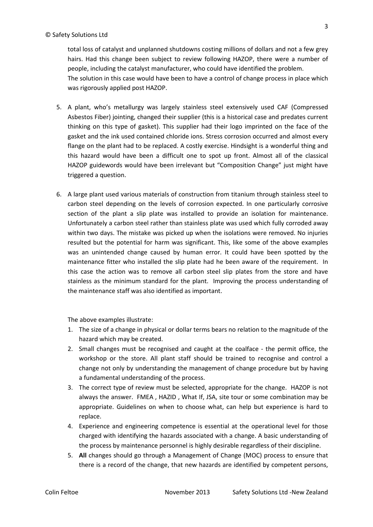total loss of catalyst and unplanned shutdowns costing millions of dollars and not a few grey hairs. Had this change been subject to review following HAZOP, there were a number of people, including the catalyst manufacturer, who could have identified the problem. The solution in this case would have been to have a control of change process in place which was rigorously applied post HAZOP.

- 5. A plant, who's metallurgy was largely stainless steel extensively used CAF (Compressed Asbestos Fiber) jointing, changed their supplier (this is a historical case and predates current thinking on this type of gasket). This supplier had their logo imprinted on the face of the gasket and the ink used contained chloride ions. Stress corrosion occurred and almost every flange on the plant had to be replaced. A costly exercise. Hindsight is a wonderful thing and this hazard would have been a difficult one to spot up front. Almost all of the classical HAZOP guidewords would have been irrelevant but "Composition Change" just might have triggered a question.
- 6. A large plant used various materials of construction from titanium through stainless steel to carbon steel depending on the levels of corrosion expected. In one particularly corrosive section of the plant a slip plate was installed to provide an isolation for maintenance. Unfortunately a carbon steel rather than stainless plate was used which fully corroded away within two days. The mistake was picked up when the isolations were removed. No injuries resulted but the potential for harm was significant. This, like some of the above examples was an unintended change caused by human error. It could have been spotted by the maintenance fitter who installed the slip plate had he been aware of the requirement. In this case the action was to remove all carbon steel slip plates from the store and have stainless as the minimum standard for the plant. Improving the process understanding of the maintenance staff was also identified as important.

The above examples illustrate:

- 1. The size of a change in physical or dollar terms bears no relation to the magnitude of the hazard which may be created.
- 2. Small changes must be recognised and caught at the coalface the permit office, the workshop or the store. All plant staff should be trained to recognise and control a change not only by understanding the management of change procedure but by having a fundamental understanding of the process.
- 3. The correct type of review must be selected, appropriate for the change. HAZOP is not always the answer. FMEA , HAZID , What If, JSA, site tour or some combination may be appropriate. Guidelines on when to choose what, can help but experience is hard to replace.
- 4. Experience and engineering competence is essential at the operational level for those charged with identifying the hazards associated with a change. A basic understanding of the process by maintenance personnel is highly desirable regardless of their discipline.
- 5. **All** changes should go through a Management of Change (MOC) process to ensure that there is a record of the change, that new hazards are identified by competent persons,